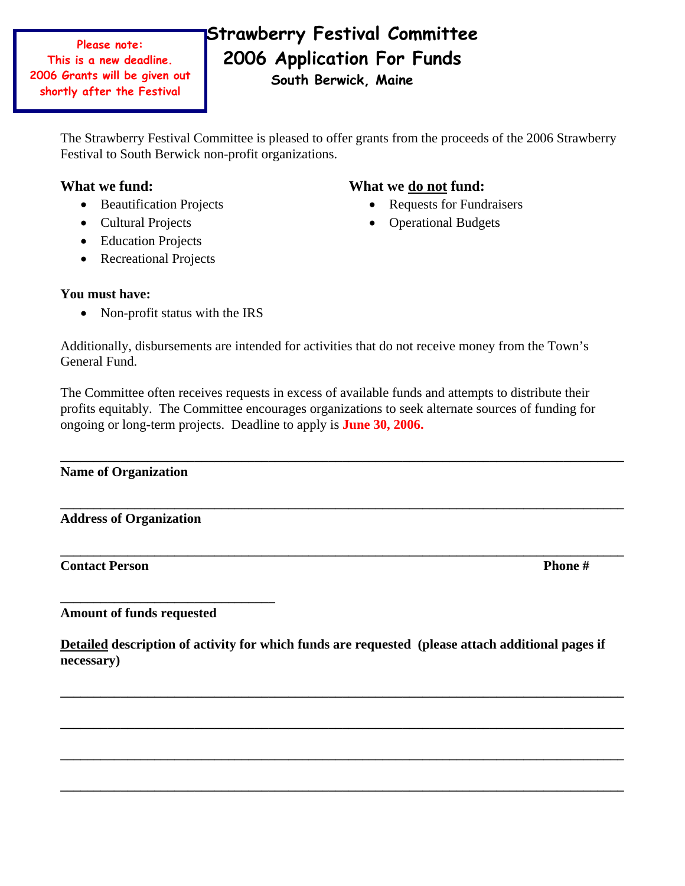**Please note: This is a new deadline. 2006 Grants will be given out shortly after the Festival**

# **Strawberry Festival Committee 2006 Application For Funds**

**South Berwick, Maine** 

The Strawberry Festival Committee is pleased to offer grants from the proceeds of the 2006 Strawberry Festival to South Berwick non-profit organizations.

## What we fund: What we do not fund:

- Beautification Projects Requests for Fundraisers
- 
- Education Projects
- Recreational Projects

- 
- Cultural Projects Operational Budgets

### **You must have:**

• Non-profit status with the IRS

Additionally, disbursements are intended for activities that do not receive money from the Town's General Fund.

The Committee often receives requests in excess of available funds and attempts to distribute their profits equitably. The Committee encourages organizations to seek alternate sources of funding for ongoing or long-term projects. Deadline to apply is **June 30, 2006.**

**\_\_\_\_\_\_\_\_\_\_\_\_\_\_\_\_\_\_\_\_\_\_\_\_\_\_\_\_\_\_\_\_\_\_\_\_\_\_\_\_\_\_\_\_\_\_\_\_\_\_\_\_\_\_\_\_\_\_\_\_\_\_\_\_\_\_\_\_\_\_\_\_\_\_\_\_\_\_\_\_\_\_\_\_** 

**\_\_\_\_\_\_\_\_\_\_\_\_\_\_\_\_\_\_\_\_\_\_\_\_\_\_\_\_\_\_\_\_\_\_\_\_\_\_\_\_\_\_\_\_\_\_\_\_\_\_\_\_\_\_\_\_\_\_\_\_\_\_\_\_\_\_\_\_\_\_\_\_\_\_\_\_\_\_\_\_\_\_\_\_**

**\_\_\_\_\_\_\_\_\_\_\_\_\_\_\_\_\_\_\_\_\_\_\_\_\_\_\_\_\_\_\_\_\_\_\_\_\_\_\_\_\_\_\_\_\_\_\_\_\_\_\_\_\_\_\_\_\_\_\_\_\_\_\_\_\_\_\_\_\_\_\_\_\_\_\_\_\_\_\_\_\_\_\_\_** 

#### **Name of Organization**

**Address of Organization** 

#### **Contact Person Phone #**

**Amount of funds requested** 

**\_\_\_\_\_\_\_\_\_\_\_\_\_\_\_\_\_\_\_\_\_\_\_\_\_\_\_\_\_\_\_\_** 

**Detailed description of activity for which funds are requested (please attach additional pages if necessary)** 

**\_\_\_\_\_\_\_\_\_\_\_\_\_\_\_\_\_\_\_\_\_\_\_\_\_\_\_\_\_\_\_\_\_\_\_\_\_\_\_\_\_\_\_\_\_\_\_\_\_\_\_\_\_\_\_\_\_\_\_\_\_\_\_\_\_\_\_\_\_\_\_\_\_\_\_\_\_\_\_\_\_\_\_\_** 

**\_\_\_\_\_\_\_\_\_\_\_\_\_\_\_\_\_\_\_\_\_\_\_\_\_\_\_\_\_\_\_\_\_\_\_\_\_\_\_\_\_\_\_\_\_\_\_\_\_\_\_\_\_\_\_\_\_\_\_\_\_\_\_\_\_\_\_\_\_\_\_\_\_\_\_\_\_\_\_\_\_\_\_\_** 

**\_\_\_\_\_\_\_\_\_\_\_\_\_\_\_\_\_\_\_\_\_\_\_\_\_\_\_\_\_\_\_\_\_\_\_\_\_\_\_\_\_\_\_\_\_\_\_\_\_\_\_\_\_\_\_\_\_\_\_\_\_\_\_\_\_\_\_\_\_\_\_\_\_\_\_\_\_\_\_\_\_\_\_\_** 

**\_\_\_\_\_\_\_\_\_\_\_\_\_\_\_\_\_\_\_\_\_\_\_\_\_\_\_\_\_\_\_\_\_\_\_\_\_\_\_\_\_\_\_\_\_\_\_\_\_\_\_\_\_\_\_\_\_\_\_\_\_\_\_\_\_\_\_\_\_\_\_\_\_\_\_\_\_\_\_\_\_\_\_\_**